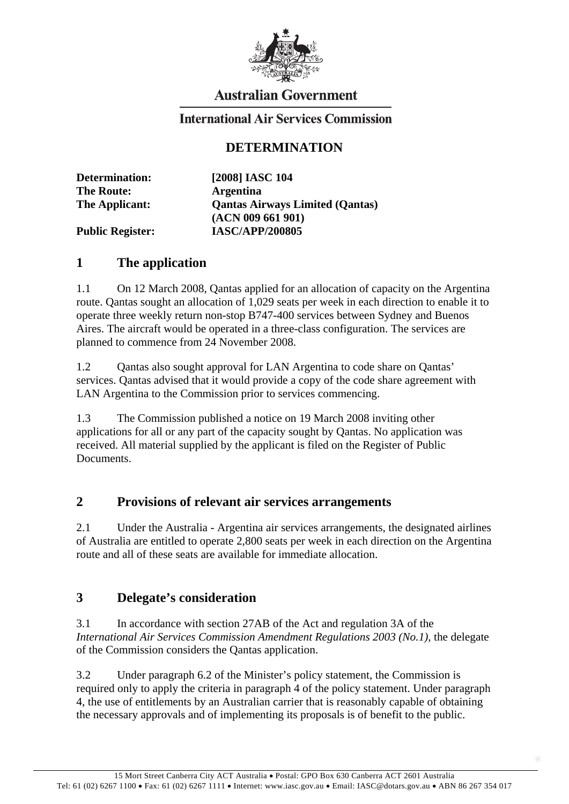

# **Australian Government**

## **International Air Services Commission**

## **DETERMINATION**

| <b>Determination:</b>   | [2008] IASC 104                        |
|-------------------------|----------------------------------------|
| <b>The Route:</b>       | <b>Argentina</b>                       |
| The Applicant:          | <b>Qantas Airways Limited (Qantas)</b> |
|                         | (ACN 009 661 901)                      |
| <b>Public Register:</b> | <b>IASC/APP/200805</b>                 |

#### **1 The application**

1.1 On 12 March 2008, Qantas applied for an allocation of capacity on the Argentina route. Qantas sought an allocation of 1,029 seats per week in each direction to enable it to operate three weekly return non-stop B747-400 services between Sydney and Buenos Aires. The aircraft would be operated in a three-class configuration. The services are planned to commence from 24 November 2008.

1.2 Qantas also sought approval for LAN Argentina to code share on Qantas' services. Qantas advised that it would provide a copy of the code share agreement with LAN Argentina to the Commission prior to services commencing.

1.3 The Commission published a notice on 19 March 2008 inviting other applications for all or any part of the capacity sought by Qantas. No application was received. All material supplied by the applicant is filed on the Register of Public Documents.

### **2 Provisions of relevant air services arrangements**

2.1 Under the Australia - Argentina air services arrangements, the designated airlines of Australia are entitled to operate 2,800 seats per week in each direction on the Argentina route and all of these seats are available for immediate allocation.

### **3 Delegate's consideration**

3.1 In accordance with section 27AB of the Act and regulation 3A of the *International Air Services Commission Amendment Regulations 2003 (No.1)*, the delegate of the Commission considers the Qantas application.

3.2 Under paragraph 6.2 of the Minister's policy statement, the Commission is required only to apply the criteria in paragraph 4 of the policy statement. Under paragraph 4, the use of entitlements by an Australian carrier that is reasonably capable of obtaining the necessary approvals and of implementing its proposals is of benefit to the public.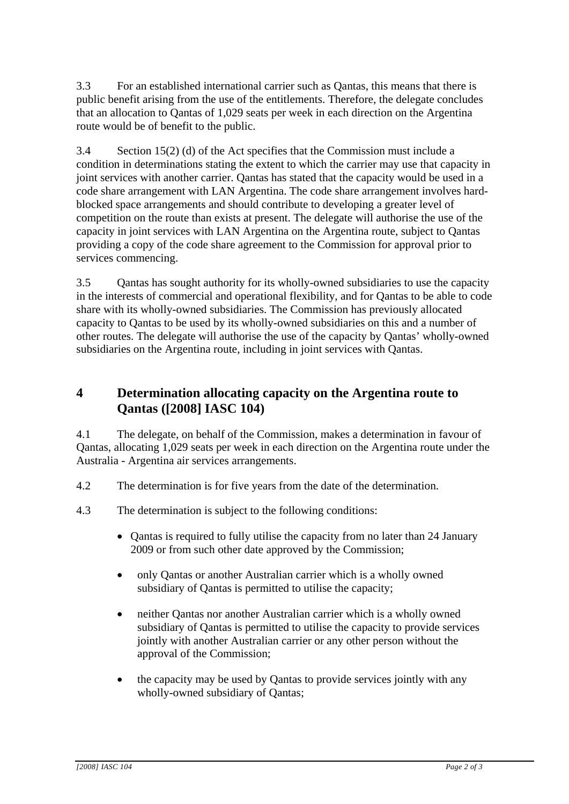3.3 For an established international carrier such as Qantas, this means that there is public benefit arising from the use of the entitlements. Therefore, the delegate concludes that an allocation to Qantas of 1,029 seats per week in each direction on the Argentina route would be of benefit to the public.

3.4 Section 15(2) (d) of the Act specifies that the Commission must include a condition in determinations stating the extent to which the carrier may use that capacity in joint services with another carrier. Qantas has stated that the capacity would be used in a code share arrangement with LAN Argentina. The code share arrangement involves hardblocked space arrangements and should contribute to developing a greater level of competition on the route than exists at present. The delegate will authorise the use of the capacity in joint services with LAN Argentina on the Argentina route, subject to Qantas providing a copy of the code share agreement to the Commission for approval prior to services commencing.

3.5 Qantas has sought authority for its wholly-owned subsidiaries to use the capacity in the interests of commercial and operational flexibility, and for Qantas to be able to code share with its wholly-owned subsidiaries. The Commission has previously allocated capacity to Qantas to be used by its wholly-owned subsidiaries on this and a number of other routes. The delegate will authorise the use of the capacity by Qantas' wholly-owned subsidiaries on the Argentina route, including in joint services with Qantas.

# **4 Determination allocating capacity on the Argentina route to Qantas ([2008] IASC 104)**

4.1 The delegate, on behalf of the Commission, makes a determination in favour of Qantas, allocating 1,029 seats per week in each direction on the Argentina route under the Australia - Argentina air services arrangements.

- 4.2 The determination is for five years from the date of the determination.
- 4.3 The determination is subject to the following conditions:
	- Qantas is required to fully utilise the capacity from no later than 24 January 2009 or from such other date approved by the Commission;
	- only Qantas or another Australian carrier which is a wholly owned subsidiary of Qantas is permitted to utilise the capacity;
	- neither Qantas nor another Australian carrier which is a wholly owned subsidiary of Qantas is permitted to utilise the capacity to provide services jointly with another Australian carrier or any other person without the approval of the Commission;
	- the capacity may be used by Qantas to provide services jointly with any wholly-owned subsidiary of Qantas;